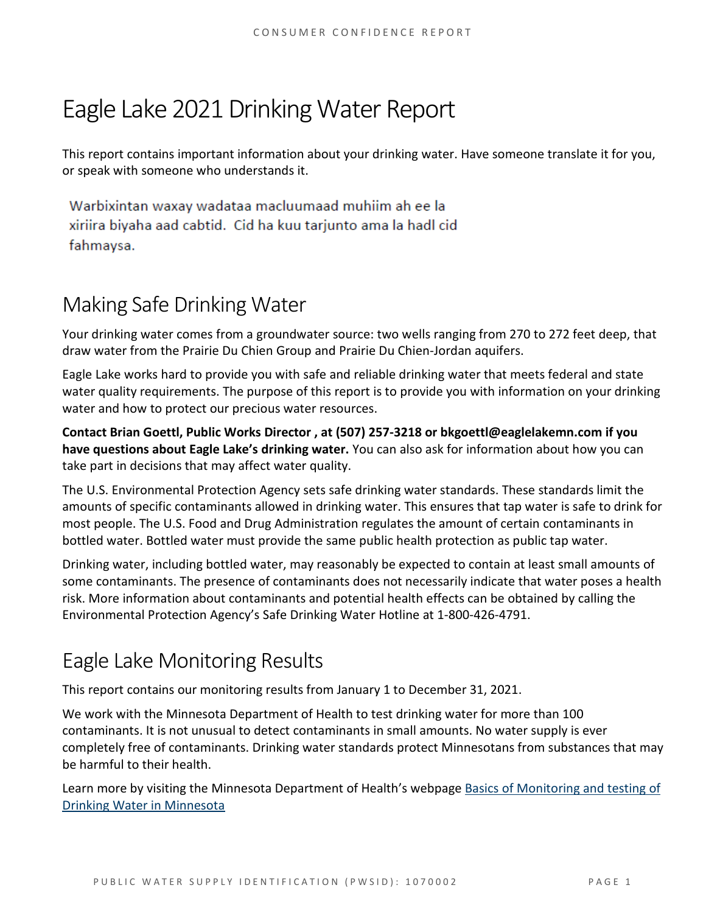# Eagle Lake 2021Drinking Water Report

This report contains important information about your drinking water. Have someone translate it for you, or speak with someone who understands it.

Warbixintan waxay wadataa macluumaad muhiim ah ee la xiriira biyaha aad cabtid. Cid ha kuu tarjunto ama la hadl cid fahmaysa.

# Making Safe Drinking Water

Your drinking water comes from a groundwater source: two wells ranging from 270 to 272 feet deep, that draw water from the Prairie Du Chien Group and Prairie Du Chien-Jordan aquifers.

Eagle Lake works hard to provide you with safe and reliable drinking water that meets federal and state water quality requirements. The purpose of this report is to provide you with information on your drinking water and how to protect our precious water resources.

**Contact Brian Goettl, Public Works Director , at (507) 257-3218 or bkgoettl@eaglelakemn.com if you have questions about Eagle Lake's drinking water.** You can also ask for information about how you can take part in decisions that may affect water quality.

The U.S. Environmental Protection Agency sets safe drinking water standards. These standards limit the amounts of specific contaminants allowed in drinking water. This ensures that tap water is safe to drink for most people. The U.S. Food and Drug Administration regulates the amount of certain contaminants in bottled water. Bottled water must provide the same public health protection as public tap water.

Drinking water, including bottled water, may reasonably be expected to contain at least small amounts of some contaminants. The presence of contaminants does not necessarily indicate that water poses a health risk. More information about contaminants and potential health effects can be obtained by calling the Environmental Protection Agency's Safe Drinking Water Hotline at 1-800-426-4791.

### Eagle Lake Monitoring Results

This report contains our monitoring results from January 1 to December 31, 2021.

We work with the Minnesota Department of Health to test drinking water for more than 100 contaminants. It is not unusual to detect contaminants in small amounts. No water supply is ever completely free of contaminants. Drinking water standards protect Minnesotans from substances that may be harmful to their health.

Learn more by visiting the Minnesota Department of Health's webpage Basics of Monitoring and testing of [Drinking Water in Minnesota](https://www.health.state.mn.us/communities/environment/water/factsheet/sampling.html)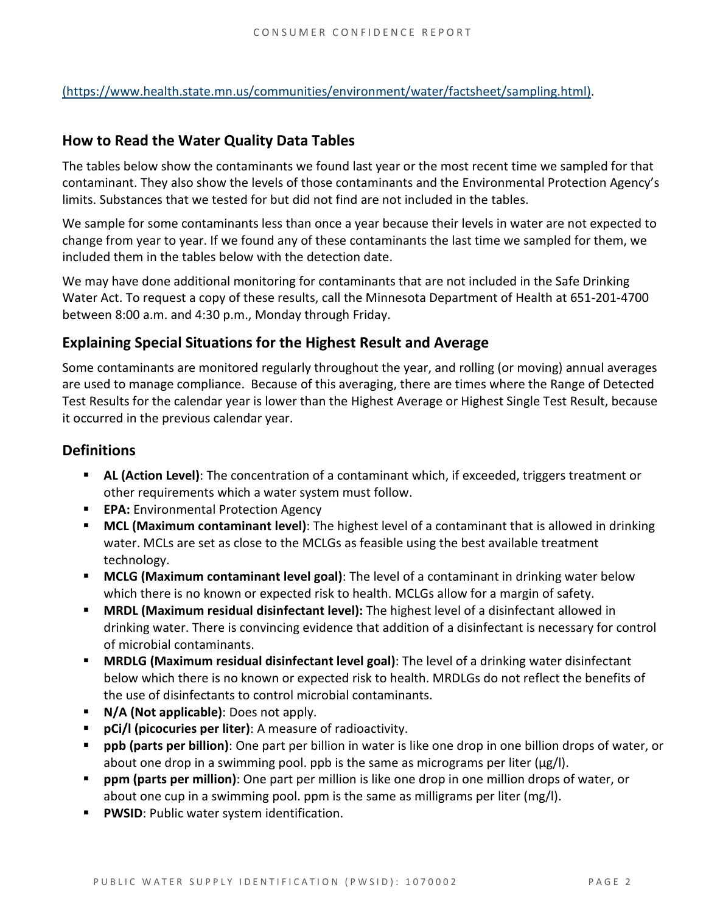[\(https://www.health.state.mn.us/communities/environment/water/factsheet/sampling.html\).](https://www.health.state.mn.us/communities/environment/water/factsheet/sampling.html)

#### **How to Read the Water Quality Data Tables**

The tables below show the contaminants we found last year or the most recent time we sampled for that contaminant. They also show the levels of those contaminants and the Environmental Protection Agency's limits. Substances that we tested for but did not find are not included in the tables.

We sample for some contaminants less than once a year because their levels in water are not expected to change from year to year. If we found any of these contaminants the last time we sampled for them, we included them in the tables below with the detection date.

We may have done additional monitoring for contaminants that are not included in the Safe Drinking Water Act. To request a copy of these results, call the Minnesota Department of Health at 651-201-4700 between 8:00 a.m. and 4:30 p.m., Monday through Friday.

#### **Explaining Special Situations for the Highest Result and Average**

Some contaminants are monitored regularly throughout the year, and rolling (or moving) annual averages are used to manage compliance. Because of this averaging, there are times where the Range of Detected Test Results for the calendar year is lower than the Highest Average or Highest Single Test Result, because it occurred in the previous calendar year.

#### **Definitions**

- **AL (Action Level)**: The concentration of a contaminant which, if exceeded, triggers treatment or other requirements which a water system must follow.
- **EPA:** Environmental Protection Agency
- **MCL (Maximum contaminant level)**: The highest level of a contaminant that is allowed in drinking water. MCLs are set as close to the MCLGs as feasible using the best available treatment technology.
- **MCLG (Maximum contaminant level goal)**: The level of a contaminant in drinking water below which there is no known or expected risk to health. MCLGs allow for a margin of safety.
- **MRDL (Maximum residual disinfectant level):** The highest level of a disinfectant allowed in drinking water. There is convincing evidence that addition of a disinfectant is necessary for control of microbial contaminants.
- **MRDLG (Maximum residual disinfectant level goal)**: The level of a drinking water disinfectant below which there is no known or expected risk to health. MRDLGs do not reflect the benefits of the use of disinfectants to control microbial contaminants.
- **N/A (Not applicable)**: Does not apply.
- **pCi/l (picocuries per liter)**: A measure of radioactivity.
- **ppb (parts per billion)**: One part per billion in water is like one drop in one billion drops of water, or about one drop in a swimming pool. ppb is the same as micrograms per liter ( $\mu$ g/l).
- **ppm (parts per million)**: One part per million is like one drop in one million drops of water, or about one cup in a swimming pool. ppm is the same as milligrams per liter (mg/l).
- **PWSID:** Public water system identification.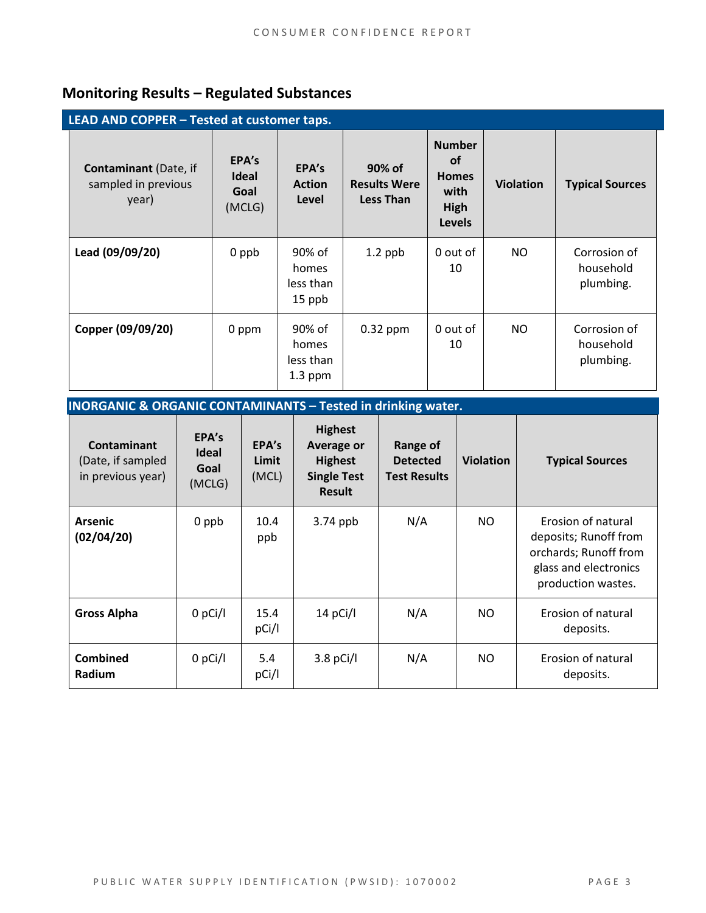### **Monitoring Results – Regulated Substances**

| LEAD AND COPPER - Tested at customer taps.                   |                                         |                                           |                                                   |                                                                             |                  |                                        |
|--------------------------------------------------------------|-----------------------------------------|-------------------------------------------|---------------------------------------------------|-----------------------------------------------------------------------------|------------------|----------------------------------------|
| <b>Contaminant</b> (Date, if<br>sampled in previous<br>year) | EPA's<br><b>Ideal</b><br>Goal<br>(MCLG) | EPA's<br><b>Action</b><br>Level           | 90% of<br><b>Results Were</b><br><b>Less Than</b> | <b>Number</b><br><b>of</b><br><b>Homes</b><br>with<br>High<br><b>Levels</b> | <b>Violation</b> | <b>Typical Sources</b>                 |
| Lead (09/09/20)                                              | 0 ppb                                   | 90% of<br>homes<br>less than<br>15 ppb    | $1.2$ ppb                                         | 0 out of<br>10                                                              | NO               | Corrosion of<br>household<br>plumbing. |
| Copper (09/09/20)                                            | 0 ppm                                   | 90% of<br>homes<br>less than<br>$1.3$ ppm | $0.32$ ppm                                        | 0 out of<br>10                                                              | NO.              | Corrosion of<br>household<br>plumbing. |

**INORGANIC & ORGANIC CONTAMINANTS – Tested in drinking water.** 

| Contaminant<br>(Date, if sampled<br>in previous year) | EPA's<br><b>Ideal</b><br>Goal<br>(MCLG) | EPA's<br>Limit<br>(MCL) | <b>Highest</b><br><b>Average or</b><br><b>Highest</b><br><b>Single Test</b><br><b>Result</b> | <b>Range of</b><br><b>Detected</b><br><b>Test Results</b> | <b>Violation</b> | <b>Typical Sources</b>                                                                                              |
|-------------------------------------------------------|-----------------------------------------|-------------------------|----------------------------------------------------------------------------------------------|-----------------------------------------------------------|------------------|---------------------------------------------------------------------------------------------------------------------|
| <b>Arsenic</b><br>(02/04/20)                          | 0 ppb                                   | 10.4<br>ppb             | $3.74$ ppb                                                                                   | N/A                                                       | NO.              | Erosion of natural<br>deposits; Runoff from<br>orchards; Runoff from<br>glass and electronics<br>production wastes. |
| <b>Gross Alpha</b>                                    | $0$ pCi/l                               | 15.4<br>pCi/l           | 14 pCi/l                                                                                     | N/A                                                       | NO.              | Erosion of natural<br>deposits.                                                                                     |
| <b>Combined</b><br><b>Radium</b>                      | $0$ pCi/l                               | 5.4<br>pCi/l            | $3.8$ pCi/l                                                                                  | N/A                                                       | NO.              | Erosion of natural<br>deposits.                                                                                     |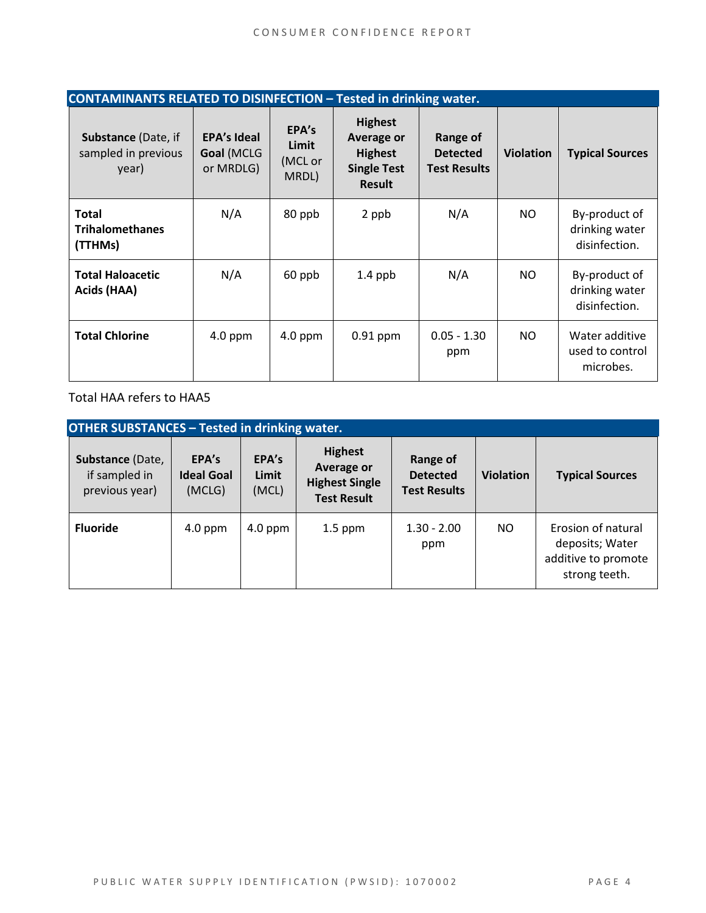| <b>CONTAMINANTS RELATED TO DISINFECTION - Tested in drinking water.</b> |                                               |                                    |                                                                                              |                                                    |                  |                                                  |
|-------------------------------------------------------------------------|-----------------------------------------------|------------------------------------|----------------------------------------------------------------------------------------------|----------------------------------------------------|------------------|--------------------------------------------------|
| <b>Substance (Date, if</b><br>sampled in previous<br>year)              | <b>EPA's Ideal</b><br>Goal (MCLG<br>or MRDLG) | EPA's<br>Limit<br>(MCL or<br>MRDL) | <b>Highest</b><br><b>Average or</b><br><b>Highest</b><br><b>Single Test</b><br><b>Result</b> | Range of<br><b>Detected</b><br><b>Test Results</b> | <b>Violation</b> | <b>Typical Sources</b>                           |
| <b>Total</b><br><b>Trihalomethanes</b><br>(TTHMs)                       | N/A                                           | 80 ppb                             | 2 ppb                                                                                        | N/A                                                | NO.              | By-product of<br>drinking water<br>disinfection. |
| <b>Total Haloacetic</b><br>Acids (HAA)                                  | N/A                                           | 60 ppb                             | $1.4$ ppb                                                                                    | N/A                                                | NO.              | By-product of<br>drinking water<br>disinfection. |
| <b>Total Chlorine</b>                                                   | $4.0$ ppm                                     | $4.0$ ppm                          | $0.91$ ppm                                                                                   | $0.05 - 1.30$<br>ppm                               | NO.              | Water additive<br>used to control<br>microbes.   |

Total HAA refers to HAA5

| <b>OTHER SUBSTANCES - Tested in drinking water.</b> |                                      |                         |                                                                                    |                                                    |                  |                                                                               |  |
|-----------------------------------------------------|--------------------------------------|-------------------------|------------------------------------------------------------------------------------|----------------------------------------------------|------------------|-------------------------------------------------------------------------------|--|
| Substance (Date,<br>if sampled in<br>previous year) | EPA's<br><b>Ideal Goal</b><br>(MCLG) | EPA's<br>Limit<br>(MCL) | <b>Highest</b><br><b>Average or</b><br><b>Highest Single</b><br><b>Test Result</b> | Range of<br><b>Detected</b><br><b>Test Results</b> | <b>Violation</b> | <b>Typical Sources</b>                                                        |  |
| <b>Fluoride</b>                                     | $4.0$ ppm                            | $4.0$ ppm               | $1.5$ ppm                                                                          | $1.30 - 2.00$<br>ppm                               | NO.              | Erosion of natural<br>deposits; Water<br>additive to promote<br>strong teeth. |  |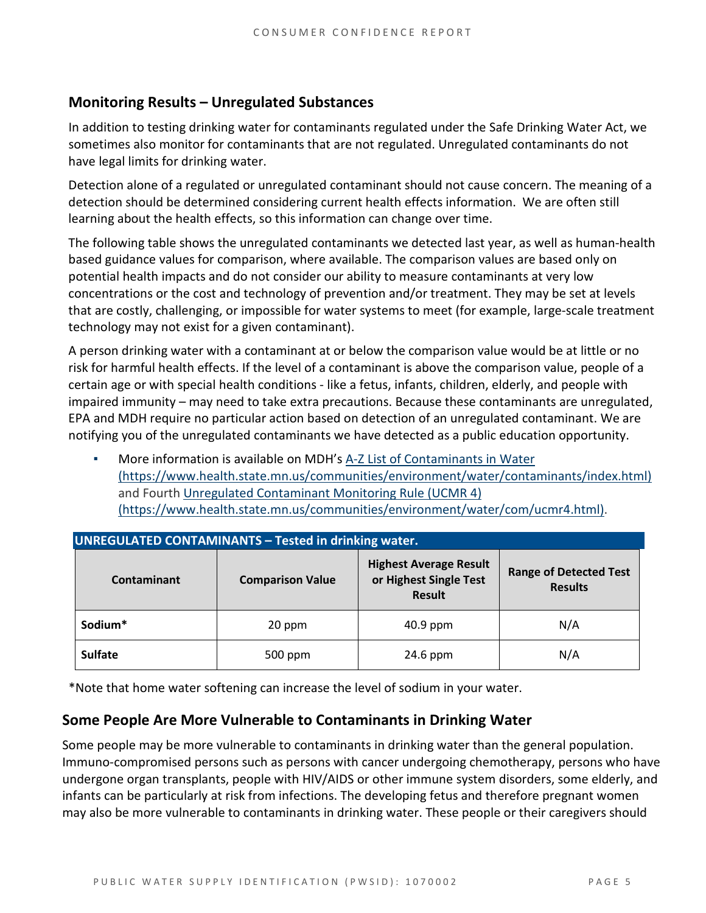#### **Monitoring Results – Unregulated Substances**

In addition to testing drinking water for contaminants regulated under the Safe Drinking Water Act, we sometimes also monitor for contaminants that are not regulated. Unregulated contaminants do not have legal limits for drinking water.

Detection alone of a regulated or unregulated contaminant should not cause concern. The meaning of a detection should be determined considering current health effects information. We are often still learning about the health effects, so this information can change over time.

The following table shows the unregulated contaminants we detected last year, as well as human-health based guidance values for comparison, where available. The comparison values are based only on potential health impacts and do not consider our ability to measure contaminants at very low concentrations or the cost and technology of prevention and/or treatment. They may be set at levels that are costly, challenging, or impossible for water systems to meet (for example, large-scale treatment technology may not exist for a given contaminant).

A person drinking water with a contaminant at or below the comparison value would be at little or no risk for harmful health effects. If the level of a contaminant is above the comparison value, people of a certain age or with special health conditions - like a fetus, infants, children, elderly, and people with impaired immunity – may need to take extra precautions. Because these contaminants are unregulated, EPA and MDH require no particular action based on detection of an unregulated contaminant. We are notifying you of the unregulated contaminants we have detected as a public education opportunity.

More information is available on MDH's A-Z List of Contaminants in Water [\(https://www.health.state.mn.us/communities/environment/water/contaminants/index.html\)](https://www.health.state.mn.us/communities/environment/water/contaminants/index.html) and Fourth [Unregulated Contaminant Monitoring Rule \(UCMR 4\)](https://www.health.state.mn.us/communities/environment/water/com/ucmr4.html)  [\(https://www.health.state.mn.us/communities/environment/water/com/ucmr4.html\).](https://www.health.state.mn.us/communities/environment/water/com/ucmr4.html)

| <b>UNREGULATED CONTAMINANTS - Tested in drinking water.</b> |                         |                                                                          |                                                 |  |  |  |  |
|-------------------------------------------------------------|-------------------------|--------------------------------------------------------------------------|-------------------------------------------------|--|--|--|--|
| <b>Contaminant</b>                                          | <b>Comparison Value</b> | <b>Highest Average Result</b><br>or Highest Single Test<br><b>Result</b> | <b>Range of Detected Test</b><br><b>Results</b> |  |  |  |  |
| Sodium*                                                     | 20 ppm                  |                                                                          | N/A                                             |  |  |  |  |
| <b>Sulfate</b>                                              | 500 ppm                 | 24.6 ppm                                                                 | N/A                                             |  |  |  |  |

\*Note that home water softening can increase the level of sodium in your water.

#### **Some People Are More Vulnerable to Contaminants in Drinking Water**

Some people may be more vulnerable to contaminants in drinking water than the general population. Immuno-compromised persons such as persons with cancer undergoing chemotherapy, persons who have undergone organ transplants, people with HIV/AIDS or other immune system disorders, some elderly, and infants can be particularly at risk from infections. The developing fetus and therefore pregnant women may also be more vulnerable to contaminants in drinking water. These people or their caregivers should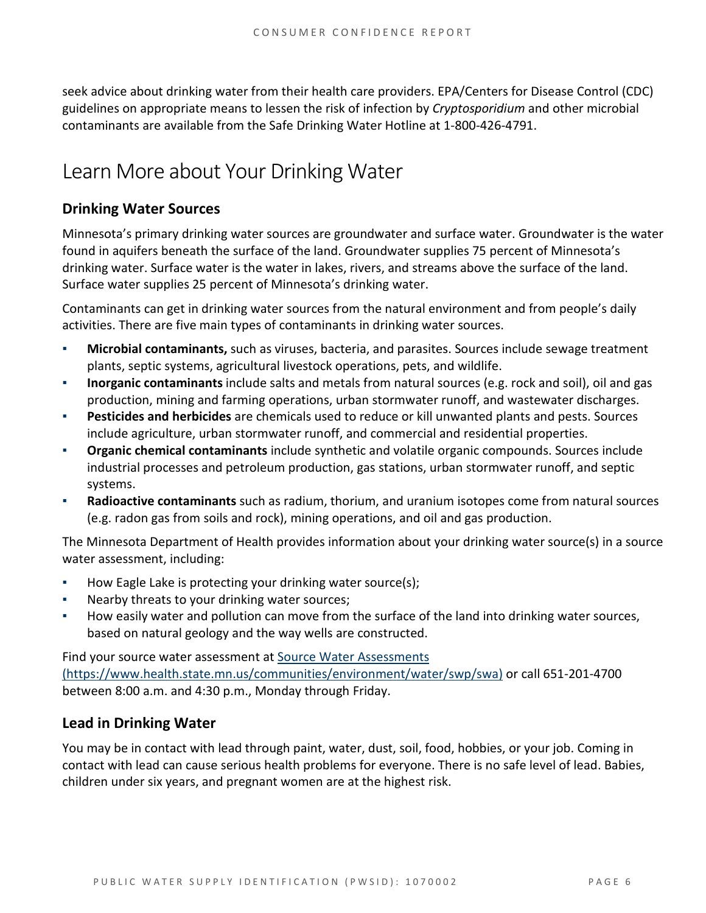seek advice about drinking water from their health care providers. EPA/Centers for Disease Control (CDC) guidelines on appropriate means to lessen the risk of infection by *Cryptosporidium* and other microbial contaminants are available from the Safe Drinking Water Hotline at 1-800-426-4791.

# Learn More about Your Drinking Water

#### **Drinking Water Sources**

Minnesota's primary drinking water sources are groundwater and surface water. Groundwater is the water found in aquifers beneath the surface of the land. Groundwater supplies 75 percent of Minnesota's drinking water. Surface water is the water in lakes, rivers, and streams above the surface of the land. Surface water supplies 25 percent of Minnesota's drinking water.

Contaminants can get in drinking water sources from the natural environment and from people's daily activities. There are five main types of contaminants in drinking water sources.

- **Microbial contaminants,** such as viruses, bacteria, and parasites. Sources include sewage treatment plants, septic systems, agricultural livestock operations, pets, and wildlife.
- **Inorganic contaminants** include salts and metals from natural sources (e.g. rock and soil), oil and gas production, mining and farming operations, urban stormwater runoff, and wastewater discharges.
- **Pesticides and herbicides** are chemicals used to reduce or kill unwanted plants and pests. Sources include agriculture, urban stormwater runoff, and commercial and residential properties.
- Organic chemical contaminants include synthetic and volatile organic compounds. Sources include industrial processes and petroleum production, gas stations, urban stormwater runoff, and septic systems.
- **Radioactive contaminants** such as radium, thorium, and uranium isotopes come from natural sources (e.g. radon gas from soils and rock), mining operations, and oil and gas production.

The Minnesota Department of Health provides information about your drinking water source(s) in a source water assessment, including:

- How Eagle Lake is protecting your drinking water source(s);
- Nearby threats to your drinking water sources;
- How easily water and pollution can move from the surface of the land into drinking water sources, based on natural geology and the way wells are constructed.

Find your source water assessment a[t Source Water Assessments](https://www.health.state.mn.us/communities/environment/water/swp/swa)  [\(https://www.health.state.mn.us/communities/environment/water/swp/swa\)](https://www.health.state.mn.us/communities/environment/water/swp/swa) or call 651-201-4700 between 8:00 a.m. and 4:30 p.m., Monday through Friday.

#### **Lead in Drinking Water**

You may be in contact with lead through paint, water, dust, soil, food, hobbies, or your job. Coming in contact with lead can cause serious health problems for everyone. There is no safe level of lead. Babies, children under six years, and pregnant women are at the highest risk.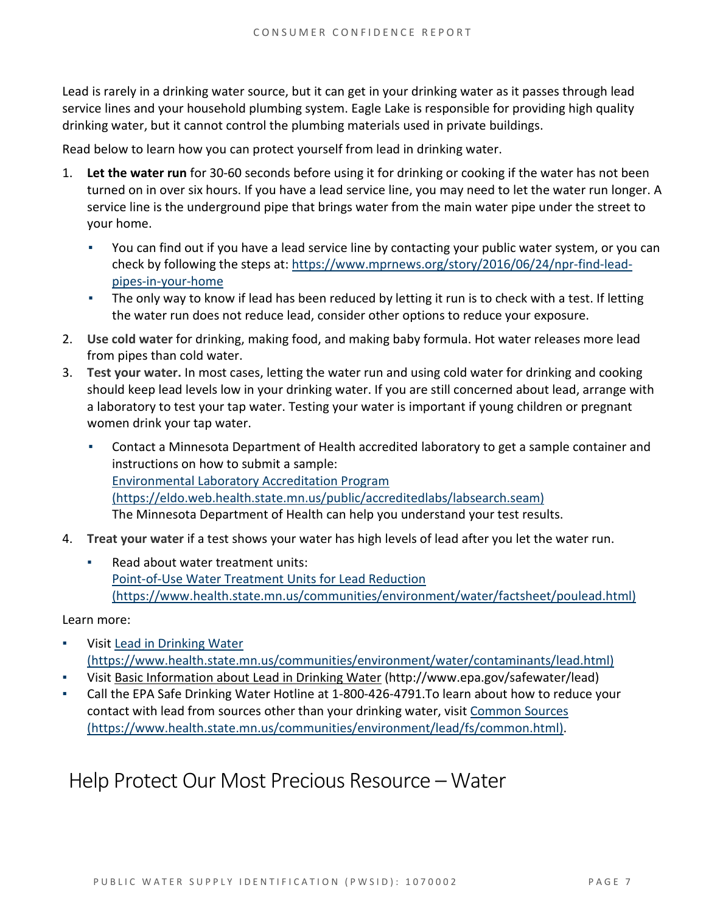Lead is rarely in a drinking water source, but it can get in your drinking water as it passes through lead service lines and your household plumbing system. Eagle Lake is responsible for providing high quality drinking water, but it cannot control the plumbing materials used in private buildings.

Read below to learn how you can protect yourself from lead in drinking water.

- 1. **Let the water run** for 30-60 seconds before using it for drinking or cooking if the water has not been turned on in over six hours. If you have a lead service line, you may need to let the water run longer. A service line is the underground pipe that brings water from the main water pipe under the street to your home.
	- You can find out if you have a lead service line by contacting your public water system, or you can check by following the steps at: [https://www.mprnews.org/story/2016/06/24/npr-find-lead](https://www.mprnews.org/story/2016/06/24/npr-find-lead-pipes-in-your-home)[pipes-in-your-home](https://www.mprnews.org/story/2016/06/24/npr-find-lead-pipes-in-your-home)
	- **•** The only way to know if lead has been reduced by letting it run is to check with a test. If letting the water run does not reduce lead, consider other options to reduce your exposure.
- 2. **Use cold water** for drinking, making food, and making baby formula. Hot water releases more lead from pipes than cold water.
- 3. **Test your water.** In most cases, letting the water run and using cold water for drinking and cooking should keep lead levels low in your drinking water. If you are still concerned about lead, arrange with a laboratory to test your tap water. Testing your water is important if young children or pregnant women drink your tap water.
	- Contact a Minnesota Department of Health accredited laboratory to get a sample container and instructions on how to submit a sample: [Environmental Laboratory Accreditation Program](https://eldo.web.health.state.mn.us/public/accreditedlabs/labsearch.seam)  [\(https://eldo.web.health.state.mn.us/public/accreditedlabs/labsearch.seam\)](https://eldo.web.health.state.mn.us/public/accreditedlabs/labsearch.seam)  The Minnesota Department of Health can help you understand your test results.
- 4. **Treat your water** if a test shows your water has high levels of lead after you let the water run.
	- Read about water treatment units: [Point-of-Use Water Treatment Units for Lead Reduction](https://www.health.state.mn.us/communities/environment/water/factsheet/poulead.html)  [\(https://www.health.state.mn.us/communities/environment/water/factsheet/poulead.html\)](https://www.health.state.mn.us/communities/environment/water/factsheet/poulead.html)

Learn more:

- Visit Lead in Drinking Water [\(https://www.health.state.mn.us/communities/environment/water/contaminants/lead.html\)](https://www.health.state.mn.us/communities/environment/water/contaminants/lead.html)
- Visit [Basic Information about Lead in Drinking Water](http://www.epa.gov/safewater/lead) (http://www.epa.gov/safewater/lead)
- Call the EPA Safe Drinking Water Hotline at 1-800-426-4791. To learn about how to reduce your contact with lead from sources other than your drinking water, visi[t Common Sources](https://www.health.state.mn.us/communities/environment/lead/fs/common.html)  [\(https://www.health.state.mn.us/communities/environment/lead/fs/common.html\).](https://www.health.state.mn.us/communities/environment/lead/fs/common.html)

### Help Protect Our Most Precious Resource – Water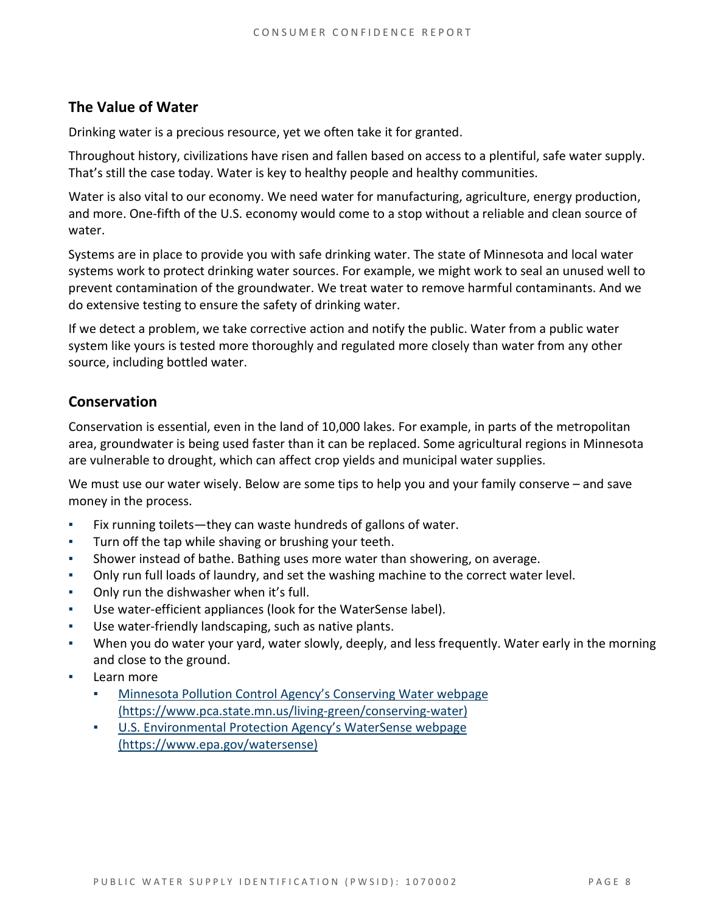#### **The Value of Water**

Drinking water is a precious resource, yet we often take it for granted.

Throughout history, civilizations have risen and fallen based on access to a plentiful, safe water supply. That's still the case today. Water is key to healthy people and healthy communities.

Water is also vital to our economy. We need water for manufacturing, agriculture, energy production, and more. One-fifth of the U.S. economy would come to a stop without a reliable and clean source of water.

Systems are in place to provide you with safe drinking water. The state of Minnesota and local water systems work to protect drinking water sources. For example, we might work to seal an unused well to prevent contamination of the groundwater. We treat water to remove harmful contaminants. And we do extensive testing to ensure the safety of drinking water.

If we detect a problem, we take corrective action and notify the public. Water from a public water system like yours is tested more thoroughly and regulated more closely than water from any other source, including bottled water.

#### **Conservation**

Conservation is essential, even in the land of 10,000 lakes. For example, in parts of the metropolitan area, groundwater is being used faster than it can be replaced. Some agricultural regions in Minnesota are vulnerable to drought, which can affect crop yields and municipal water supplies.

We must use our water wisely. Below are some tips to help you and your family conserve – and save money in the process.

- Fix running toilets—they can waste hundreds of gallons of water.
- Turn off the tap while shaving or brushing your teeth.
- Shower instead of bathe. Bathing uses more water than showering, on average.
- Only run full loads of laundry, and set the washing machine to the correct water level.
- Only run the dishwasher when it's full.
- Use water-efficient appliances (look for the WaterSense label).
- Use water-friendly landscaping, such as native plants.
- When you do water your yard, water slowly, deeply, and less frequently. Water early in the morning and close to the ground.
- Learn more
	- Minnesota Pollution Control Agency's Conserving Water webpage [\(https://www.pca.state.mn.us/living-green/conserving-water\)](https://www.pca.state.mn.us/living-green/conserving-water)
	- [U.S. Environmental Protection Agency's WaterSense webpage](https://www.epa.gov/watersense)  [\(https://www.epa.gov/watersense\)](https://www.epa.gov/watersense)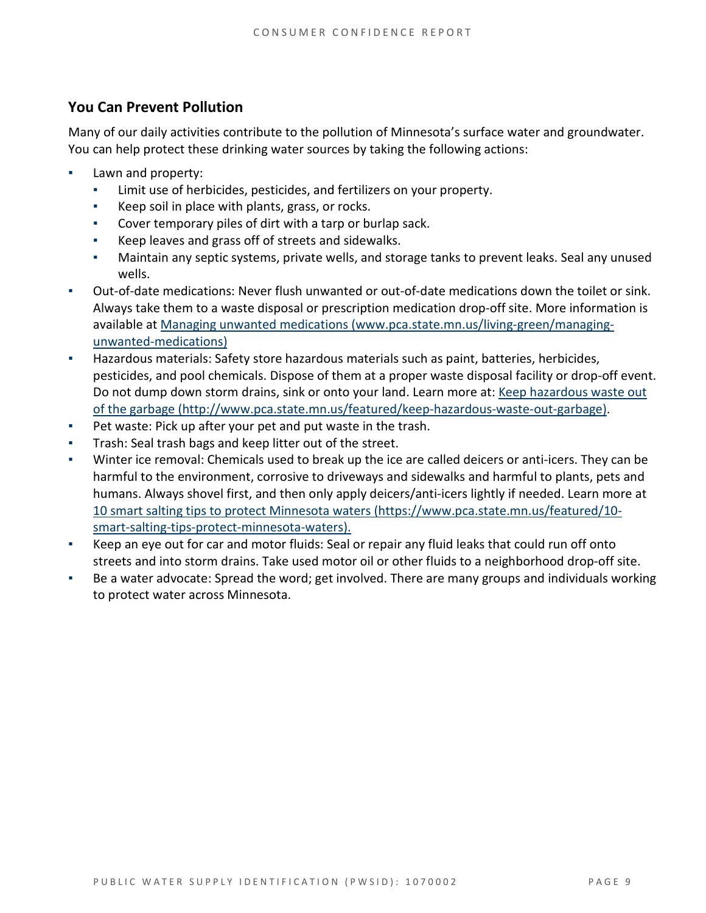#### **You Can Prevent Pollution**

Many of our daily activities contribute to the pollution of Minnesota's surface water and groundwater. You can help protect these drinking water sources by taking the following actions:

- Lawn and property:
	- Limit use of herbicides, pesticides, and fertilizers on your property.
	- Keep soil in place with plants, grass, or rocks.
	- Cover temporary piles of dirt with a tarp or burlap sack.
	- Keep leaves and grass off of streets and sidewalks.
	- Maintain any septic systems, private wells, and storage tanks to prevent leaks. Seal any unused wells.
- Out-of-date medications: Never flush unwanted or out-of-date medications down the toilet or sink. Always take them to a waste disposal or prescription medication drop-off site. More information is available at [Managing unwanted medications \(www.pca.state.mn.us/living-green/managing](http://www.pca.state.mn.us/living-green/managing-unwanted-medications)[unwanted-medications\)](http://www.pca.state.mn.us/living-green/managing-unwanted-medications)
- Hazardous materials: Safety store hazardous materials such as paint, batteries, herbicides, pesticides, and pool chemicals. Dispose of them at a proper waste disposal facility or drop-off event. Do not dump down storm drains, sink or onto your land. Learn more at: [Keep hazardous waste](http://www.pca.state.mn.us/featured/keep-hazardous-waste-out-garbage) out [of the garbage \(http://www.pca.state.mn.us/featured/keep-hazardous-waste-out-garbage\).](http://www.pca.state.mn.us/featured/keep-hazardous-waste-out-garbage)
- Pet waste: Pick up after your pet and put waste in the trash.
- Trash: Seal trash bags and keep litter out of the street.
- Winter ice removal: Chemicals used to break up the ice are called deicers or anti-icers. They can be harmful to the environment, corrosive to driveways and sidewalks and harmful to plants, pets and humans. Always shovel first, and then only apply deicers/anti-icers lightly if needed. Learn more at [10 smart salting tips to protect Minnesota waters \(https://www.pca.state.mn.us/featured/10](https://www.pca.state.mn.us/featured/10-smart-salting-tips-protect-minnesota-waters) [smart-salting-tips-protect-minnesota-waters\).](https://www.pca.state.mn.us/featured/10-smart-salting-tips-protect-minnesota-waters)
- Keep an eye out for car and motor fluids: Seal or repair any fluid leaks that could run off onto streets and into storm drains. Take used motor oil or other fluids to a neighborhood drop-off site.
- Be a water advocate: Spread the word; get involved. There are many groups and individuals working to protect water across Minnesota.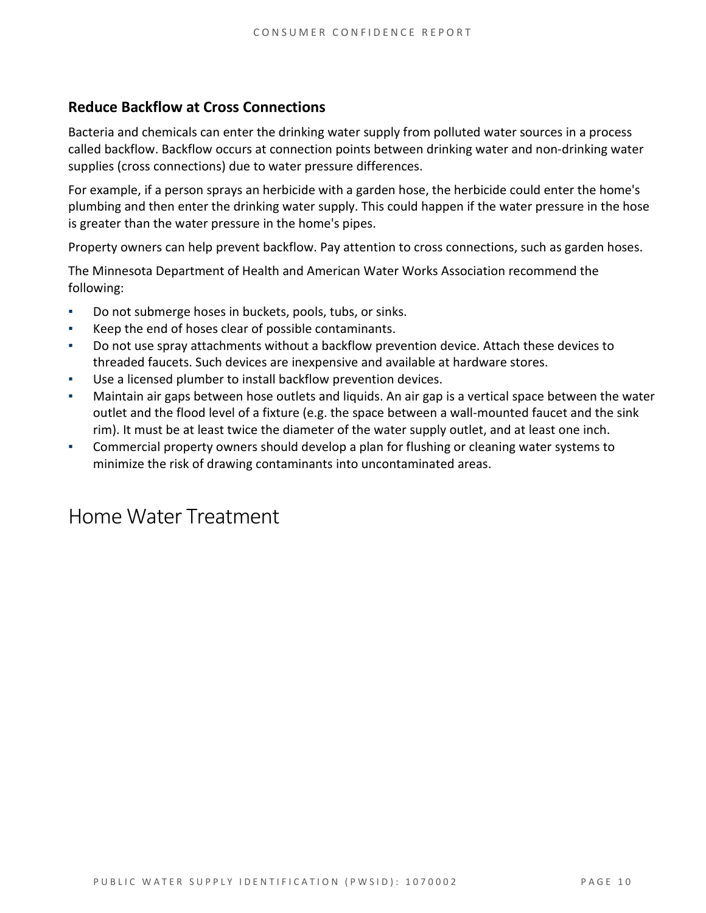#### **Reduce Backflow at Cross Connections**

Bacteria and chemicals can enter the drinking water supply from polluted water sources in a process called backflow. Backflow occurs at connection points between drinking water and non-drinking water supplies (cross connections) due to water pressure differences.

For example, if a person sprays an herbicide with a garden hose, the herbicide could enter the home's plumbing and then enter the drinking water supply. This could happen if the water pressure in the hose is greater than the water pressure in the home's pipes.

Property owners can help prevent backflow. Pay attention to cross connections, such as garden hoses.

The Minnesota Department of Health and American Water Works Association recommend the following:

- Do not submerge hoses in buckets, pools, tubs, or sinks.
- Keep the end of hoses clear of possible contaminants.
- Do not use spray attachments without a backflow prevention device. Attach these devices to threaded faucets. Such devices are inexpensive and available at hardware stores.
- Use a licensed plumber to install backflow prevention devices.
- Maintain air gaps between hose outlets and liquids. An air gap is a vertical space between the water outlet and the flood level of a fixture (e.g. the space between a wall-mounted faucet and the sink rim). It must be at least twice the diameter of the water supply outlet, and at least one inch.
- Commercial property owners should develop a plan for flushing or cleaning water systems to minimize the risk of drawing contaminants into uncontaminated areas.

### Home Water Treatment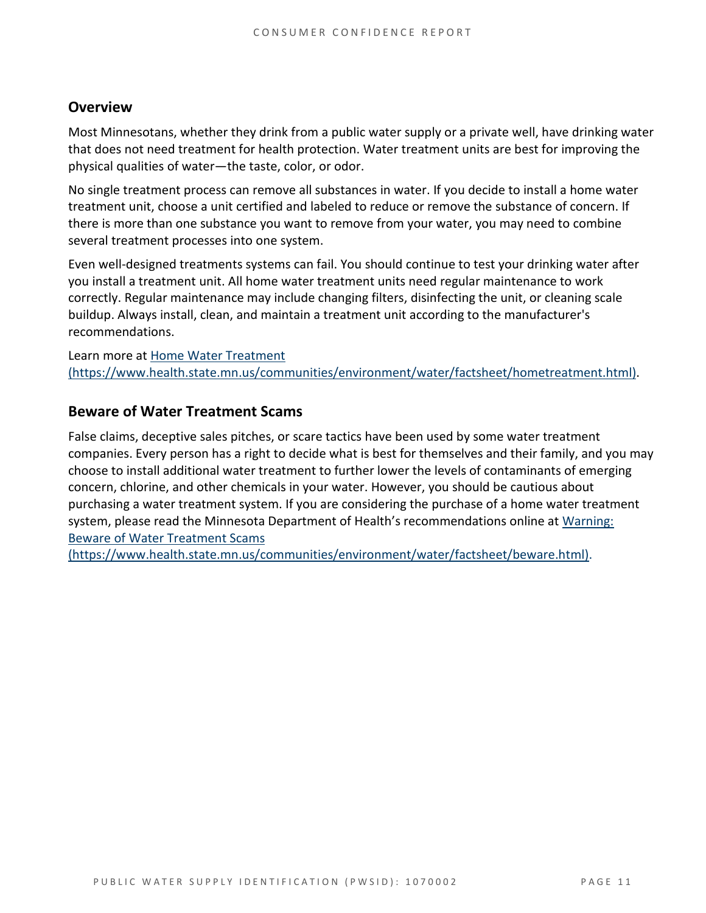#### **Overview**

Most Minnesotans, whether they drink from a public water supply or a private well, have drinking water that does not need treatment for health protection. Water treatment units are best for improving the physical qualities of water—the taste, color, or odor.

No single treatment process can remove all substances in water. If you decide to install a home water treatment unit, choose a unit certified and labeled to reduce or remove the substance of concern. If there is more than one substance you want to remove from your water, you may need to combine several treatment processes into one system.

Even well-designed treatments systems can fail. You should continue to test your drinking water after you install a treatment unit. All home water treatment units need regular maintenance to work correctly. Regular maintenance may include changing filters, disinfecting the unit, or cleaning scale buildup. Always install, clean, and maintain a treatment unit according to the manufacturer's recommendations.

Learn more at [Home Water Treatment](https://www.health.state.mn.us/communities/environment/water/factsheet/hometreatment.html)  [\(https://www.health.state.mn.us/communities/environment/water/factsheet/hometreatment.html\).](https://www.health.state.mn.us/communities/environment/water/factsheet/hometreatment.html)

#### **Beware of Water Treatment Scams**

False claims, deceptive sales pitches, or scare tactics have been used by some water treatment companies. Every person has a right to decide what is best for themselves and their family, and you may choose to install additional water treatment to further lower the levels of contaminants of emerging concern, chlorine, and other chemicals in your water. However, you should be cautious about purchasing a water treatment system. If you are considering the purchase of a home water treatment system, please read the Minnesota Department of Health's recommendations online at [Warning:](https://www.health.state.mn.us/communities/environment/water/factsheet/beware.html)  [Beware of Water Treatment Scams](https://www.health.state.mn.us/communities/environment/water/factsheet/beware.html) 

[\(https://www.health.state.mn.us/communities/environment/water/factsheet/beware.html\).](https://www.health.state.mn.us/communities/environment/water/factsheet/beware.html)